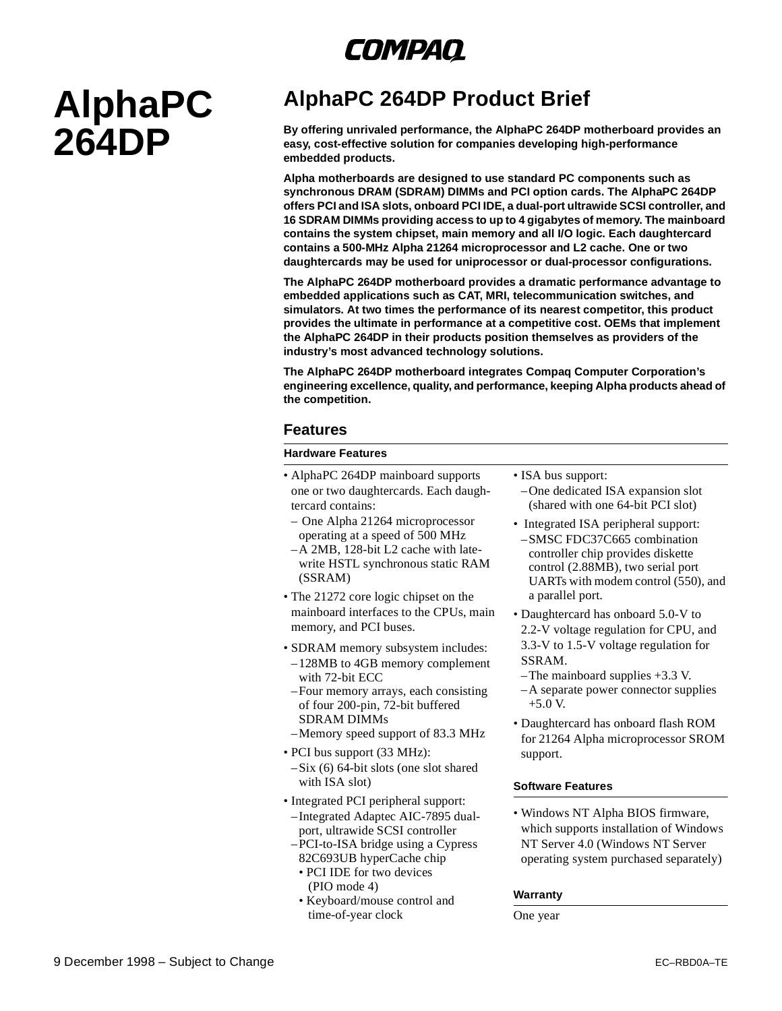## *COMPAQ*

# **AlphaPC 264DP**

### **AlphaPC 264DP Product Brief**

**By offering unrivaled performance, the AlphaPC 264DP motherboard provides an easy, cost-effective solution for companies developing high-performance embedded products.**

**Alpha motherboards are designed to use standard PC components such as synchronous DRAM (SDRAM) DIMMs and PCI option cards. The AlphaPC 264DP offers PCI and ISA slots, onboard PCI IDE, a dual-port ultrawide SCSI controller, and 16 SDRAM DIMMs providing access to up to 4 gigabytes of memory. The mainboard contains the system chipset, main memory and all I/O logic. Each daughtercard contains a 500-MHz Alpha 21264 microprocessor and L2 cache. One or two daughtercards may be used for uniprocessor or dual-processor configurations.**

**The AlphaPC 264DP motherboard provides a dramatic performance advantage to embedded applications such as CAT, MRI, telecommunication switches, and simulators. At two times the performance of its nearest competitor, this product provides the ultimate in performance at a competitive cost. OEMs that implement the AlphaPC 264DP in their products position themselves as providers of the industry's most advanced technology solutions.**

**The AlphaPC 264DP motherboard integrates Compaq Computer Corporation's engineering excellence, quality, and performance, keeping Alpha products ahead of the competition.**

#### **Features**

#### **Hardware Features**

- AlphaPC 264DP mainboard supports one or two daughtercards. Each daughtercard contains:
	- One Alpha 21264 microprocessor operating at a speed of 500 MHz
	- –A 2MB, 128-bit L2 cache with latewrite HSTL synchronous static RAM (SSRAM)
- The 21272 core logic chipset on the mainboard interfaces to the CPUs, main memory, and PCI buses.
- SDRAM memory subsystem includes: –128MB to 4GB memory complement with 72-bit ECC
- –Four memory arrays, each consisting of four 200-pin, 72-bit buffered SDRAM DIMMs
- –Memory speed support of 83.3 MHz
- PCI bus support (33 MHz):
- –Six (6) 64-bit slots (one slot shared with ISA slot)
- Integrated PCI peripheral support: –Integrated Adaptec AIC-7895 dualport, ultrawide SCSI controller –PCI-to-ISA bridge using a Cypress
	- 82C693UB hyperCache chip • PCI IDE for two devices (PIO mode 4)
	- Keyboard/mouse control and time-of-year clock
- ISA bus support:
	- –One dedicated ISA expansion slot (shared with one 64-bit PCI slot)
- Integrated ISA peripheral support: –SMSC FDC37C665 combination controller chip provides diskette control (2.88MB), two serial port UARTs with modem control (550), and a parallel port.
- Daughtercard has onboard 5.0-V to 2.2-V voltage regulation for CPU, and 3.3-V to 1.5-V voltage regulation for SSRAM.
- –The mainboard supplies +3.3 V.
- –A separate power connector supplies +5.0 V.
- Daughtercard has onboard flash ROM for 21264 Alpha microprocessor SROM support.

#### **Software Features**

• Windows NT Alpha BIOS firmware, which supports installation of Windows NT Server 4.0 (Windows NT Server operating system purchased separately)

#### **Warranty**

One year